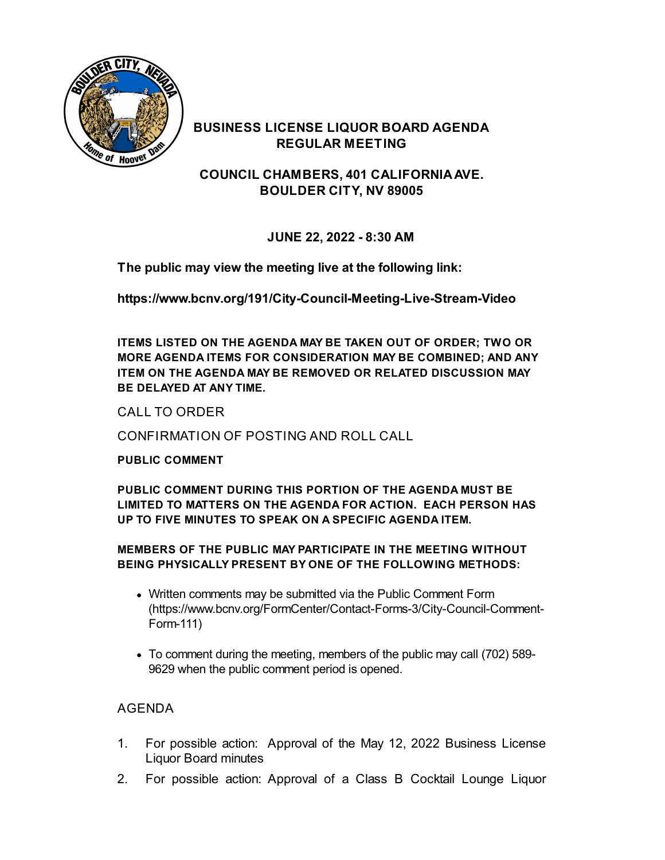

## **BUSINESS LICENSE LIQUOR BOARD AGENDA REGULAR MEETING**

**COUNCIL CHAMBERS, 401 CALIFORNIAAVE. BOULDER CITY, NV 89005**

**JUNE 22, 2022 - 8:30 AM**

**The public may view the meeting live at the following link:**

**<https://www.bcnv.org/191/City-Council-Meeting-Live-Stream-Video>**

**ITEMS LISTED ON THE AGENDA MAY BE TAKEN OUT OF ORDER; TWO OR MORE AGENDA ITEMS FOR CONSIDERATION MAY BE COMBINED; AND ANY ITEM ON THE AGENDA MAY BE REMOVED OR RELATED DISCUSSION MAY BE DELAYED AT ANY TIME.**

CALL TO ORDER

CONFIRMATION OF POSTING AND ROLL CALL

### **PUBLIC COMMENT**

**PUBLIC COMMENT DURING THIS PORTION OF THE AGENDA MUST BE LIMITED TO MATTERS ON THE AGENDA FOR ACTION. EACH PERSON HAS UP TO FIVE MINUTES TO SPEAK ON A SPECIFIC AGENDA ITEM.**

### **MEMBERS OF THE PUBLIC MAY PARTICIPATE IN THE MEETING WITHOUT BEING PHYSICALLY PRESENT BY ONE OF THE FOLLOWING METHODS:**

- Written comments may be submitted via the Public Comment Form [\(https://www.bcnv.org/FormCenter/Contact-Forms-3/City-Council-Comment-](https://www.bcnv.org/FormCenter/Contact-Forms-3/City-Council-Comment-Form-111)Form-111)
- To comment during the meeting, members of the public may call (702) 589- 9629 when the public comment period is opened.

# AGENDA

- 1. For possible action: Approval of the May 12, 2022 [Business](file:///C:/Windows/TEMP/CoverSheet.aspx?ItemID=5161&MeetingID=1159) License Liquor Board minutes
- 2. For possible action: [Approval](file:///C:/Windows/TEMP/CoverSheet.aspx?ItemID=5165&MeetingID=1159) of a Class B Cocktail Lounge Liquor